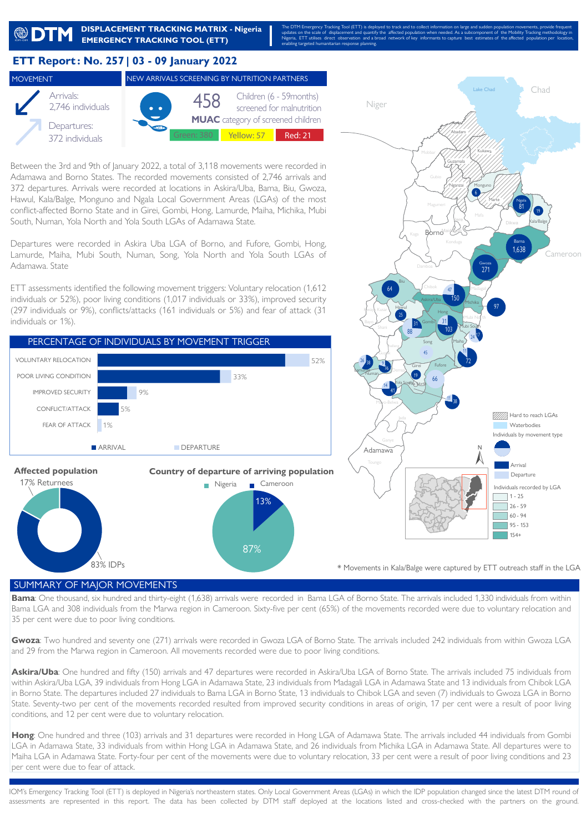

## **ETT Report : No. 257 | 03 - 09 January 2022**





**MUAC** category of screened children Yellow: 57 **Red: 21** 

Between the 3rd and 9th of January 2022, a total of 3,118 movements were recorded in Adamawa and Borno States. The recorded movements consisted of 2,746 arrivals and 372 departures. Arrivals were recorded at locations in Askira/Uba, Bama, Biu, Gwoza, Hawul, Kala/Balge, Monguno and Ngala Local Government Areas (LGAs) of the most conflict-affected Borno State and in Girei, Gombi, Hong, Lamurde, Maiha, Michika, Mubi South, Numan, Yola North and Yola South LGAs of Adamawa State.

Departures were recorded in Askira Uba LGA of Borno, and Fufore, Gombi, Hong, Lamurde, Maiha, Mubi South, Numan, Song, Yola North and Yola South LGAs of Adamawa. State

ETT assessments identified the following movement triggers: Voluntary relocation (1,612 individuals or 52%), poor living conditions (1,017 individuals or 33%), improved security (297 individuals or 9%), conflicts/attacks (161 individuals or 5%) and fear of attack (31 individuals or 1%).





\* Movements in Kala/Balge were captured by ETT outreach staff in the LGA

## SUMMARY OF MAJOR MOVEMENTS

**Bama**: One thousand, six hundred and thirty-eight (1,638) arrivals were recorded in Bama LGA of Borno State. The arrivals included 1,330 individuals from within Bama LGA and 308 individuals from the Marwa region in Cameroon. Sixty-five per cent (65%) of the movements recorded were due to voluntary relocation and 35 per cent were due to poor living conditions.

**Gwoza**: Two hundred and seventy one (271) arrivals were recorded in Gwoza LGA of Borno State. The arrivals included 242 individuals from within Gwoza LGA and 29 from the Marwa region in Cameroon. All movements recorded were due to poor living conditions.

Askira/Uba: One hundred and fifty (150) arrivals and 47 departures were recorded in Askira/Uba LGA of Borno State. The arrivals included 75 individuals from within Askira/Uba LGA, 39 individuals from Hong LGA in Adamawa State, 23 individuals from Madagali LGA in Adamawa State and 13 individuals from Chibok LGA in Borno State. The departures included 27 individuals to Bama LGA in Borno State, 13 individuals to Chibok LGA and seven (7) individuals to Gwoza LGA in Borno State. Seventy-two per cent of the movements recorded resulted from improved security conditions in areas of origin, 17 per cent were a result of poor living conditions, and 12 per cent were due to voluntary relocation.

**Hong**: One hundred and three (103) arrivals and 31 departures were recorded in Hong LGA of Adamawa State. The arrivals included 44 individuals from Gombi LGA in Adamawa State, 33 individuals from within Hong LGA in Adamawa State, and 26 individuals from Michika LGA in Adamawa State. All departures were to Maiha LGA in Adamawa State. Forty-four per cent of the movements were due to voluntary relocation, 33 per cent were a result of poor living conditions and 23 per cent were due to fear of attack.

IOM's Emergency Tracking Tool (ETT) is deployed in Nigeria's northeastern states. Only Local Government Areas (LGAs) in which the IDP population changed since the latest DTM round of assessments are represented in this report. The data has been collected by DTM staff deployed at the locations listed and cross-checked with the partners on the ground.